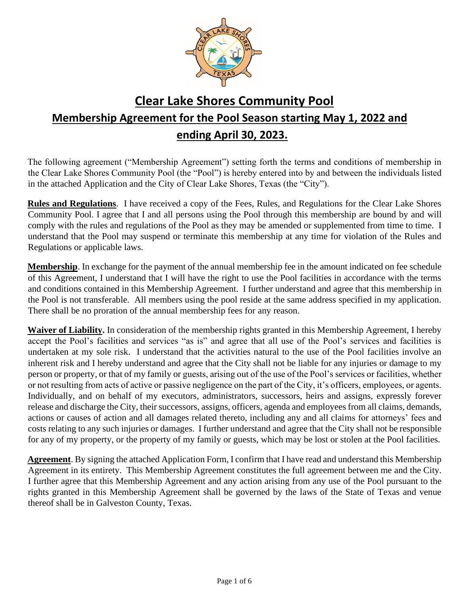

# **Clear Lake Shores Community Pool Membership Agreement for the Pool Season starting May 1, 2022 and ending April 30, 2023.**

The following agreement ("Membership Agreement") setting forth the terms and conditions of membership in the Clear Lake Shores Community Pool (the "Pool") is hereby entered into by and between the individuals listed in the attached Application and the City of Clear Lake Shores, Texas (the "City").

**Rules and Regulations**. I have received a copy of the Fees, Rules, and Regulations for the Clear Lake Shores Community Pool. I agree that I and all persons using the Pool through this membership are bound by and will comply with the rules and regulations of the Pool as they may be amended or supplemented from time to time. I understand that the Pool may suspend or terminate this membership at any time for violation of the Rules and Regulations or applicable laws.

**Membership**. In exchange for the payment of the annual membership fee in the amount indicated on fee schedule of this Agreement, I understand that I will have the right to use the Pool facilities in accordance with the terms and conditions contained in this Membership Agreement. I further understand and agree that this membership in the Pool is not transferable. All members using the pool reside at the same address specified in my application. There shall be no proration of the annual membership fees for any reason.

**Waiver of Liability.** In consideration of the membership rights granted in this Membership Agreement, I hereby accept the Pool's facilities and services "as is" and agree that all use of the Pool's services and facilities is undertaken at my sole risk. I understand that the activities natural to the use of the Pool facilities involve an inherent risk and I hereby understand and agree that the City shall not be liable for any injuries or damage to my person or property, or that of my family or guests, arising out of the use of the Pool's services or facilities, whether or not resulting from acts of active or passive negligence on the part of the City, it's officers, employees, or agents. Individually, and on behalf of my executors, administrators, successors, heirs and assigns, expressly forever release and discharge the City, their successors, assigns, officers, agenda and employees from all claims, demands, actions or causes of action and all damages related thereto, including any and all claims for attorneys' fees and costs relating to any such injuries or damages. I further understand and agree that the City shall not be responsible for any of my property, or the property of my family or guests, which may be lost or stolen at the Pool facilities.

**Agreement**. By signing the attached Application Form, I confirm that I have read and understand this Membership Agreement in its entirety. This Membership Agreement constitutes the full agreement between me and the City. I further agree that this Membership Agreement and any action arising from any use of the Pool pursuant to the rights granted in this Membership Agreement shall be governed by the laws of the State of Texas and venue thereof shall be in Galveston County, Texas.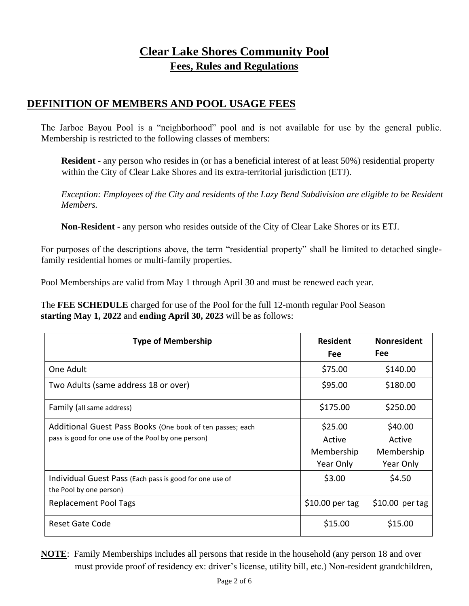## **Clear Lake Shores Community Pool Fees, Rules and Regulations**

#### **DEFINITION OF MEMBERS AND POOL USAGE FEES**

The Jarboe Bayou Pool is a "neighborhood" pool and is not available for use by the general public. Membership is restricted to the following classes of members:

**Resident** - any person who resides in (or has a beneficial interest of at least 50%) residential property within the City of Clear Lake Shores and its extra-territorial jurisdiction (ETJ).

*Exception: Employees of the City and residents of the Lazy Bend Subdivision are eligible to be Resident Members.*

**Non-Resident -** any person who resides outside of the City of Clear Lake Shores or its ETJ.

For purposes of the descriptions above, the term "residential property" shall be limited to detached singlefamily residential homes or multi-family properties.

Pool Memberships are valid from May 1 through April 30 and must be renewed each year.

The **FEE SCHEDULE** charged for use of the Pool for the full 12-month regular Pool Season **starting May 1, 2022** and **ending April 30, 2023** will be as follows:

| <b>Type of Membership</b>                                                          | <b>Resident</b><br><b>Fee</b> | <b>Nonresident</b><br><b>Fee</b> |
|------------------------------------------------------------------------------------|-------------------------------|----------------------------------|
| One Adult                                                                          | \$75.00                       | \$140.00                         |
| Two Adults (same address 18 or over)                                               | \$95.00                       | \$180.00                         |
| Family (all same address)                                                          | \$175.00                      | \$250.00                         |
| Additional Guest Pass Books (One book of ten passes; each                          | \$25.00                       | \$40.00                          |
| pass is good for one use of the Pool by one person)                                | Active                        | Active                           |
|                                                                                    | Membership                    | Membership                       |
|                                                                                    | Year Only                     | Year Only                        |
| Individual Guest Pass (Each pass is good for one use of<br>the Pool by one person) | \$3.00                        | \$4.50                           |
| <b>Replacement Pool Tags</b>                                                       | $$10.00$ per tag              | $$10.00$ per tag                 |
| <b>Reset Gate Code</b>                                                             | \$15.00                       | \$15.00                          |

**NOTE**: Family Memberships includes all persons that reside in the household (any person 18 and over must provide proof of residency ex: driver's license, utility bill, etc.) Non-resident grandchildren,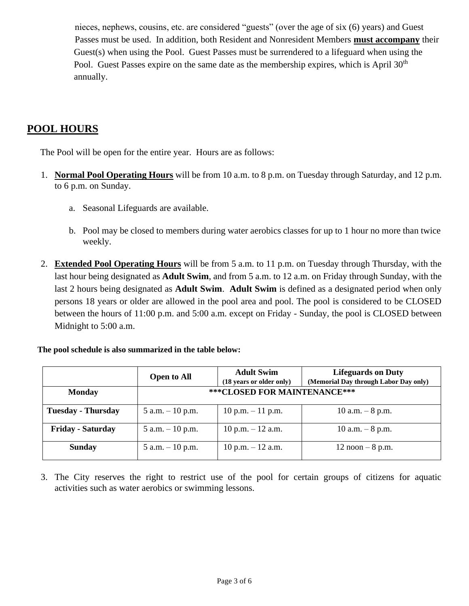nieces, nephews, cousins, etc. are considered "guests" (over the age of six (6) years) and Guest Passes must be used. In addition, both Resident and Nonresident Members **must accompany** their Guest(s) when using the Pool. Guest Passes must be surrendered to a lifeguard when using the Pool. Guest Passes expire on the same date as the membership expires, which is April 30<sup>th</sup> annually.

#### **POOL HOURS**

The Pool will be open for the entire year. Hours are as follows:

- 1. **Normal Pool Operating Hours** will be from 10 a.m. to 8 p.m. on Tuesday through Saturday, and 12 p.m. to 6 p.m. on Sunday.
	- a. Seasonal Lifeguards are available.
	- b. Pool may be closed to members during water aerobics classes for up to 1 hour no more than twice weekly.
- 2. **Extended Pool Operating Hours** will be from 5 a.m. to 11 p.m. on Tuesday through Thursday, with the last hour being designated as **Adult Swim**, and from 5 a.m. to 12 a.m. on Friday through Sunday, with the last 2 hours being designated as **Adult Swim**. **Adult Swim** is defined as a designated period when only persons 18 years or older are allowed in the pool area and pool. The pool is considered to be CLOSED between the hours of 11:00 p.m. and 5:00 a.m. except on Friday - Sunday, the pool is CLOSED between Midnight to 5:00 a.m.

|  | The pool schedule is also summarized in the table below: |  |  |
|--|----------------------------------------------------------|--|--|
|  |                                                          |  |  |

|                           | <b>Open to All</b> | <b>Adult Swim</b><br>(18 years or older only) | <b>Lifeguards on Duty</b><br>(Memorial Day through Labor Day only) |  |  |
|---------------------------|--------------------|-----------------------------------------------|--------------------------------------------------------------------|--|--|
| <b>Monday</b>             |                    | *** CLOSED FOR MAINTENANCE***                 |                                                                    |  |  |
| <b>Tuesday - Thursday</b> | 5 a.m. $-10$ p.m.  | $10$ p.m. $-11$ p.m.                          | 10 a.m. $-8$ p.m.                                                  |  |  |
| <b>Friday - Saturday</b>  | 5 a.m. $-10$ p.m.  | 10 p.m. $-$ 12 a.m.                           | 10 a.m. $-8$ p.m.                                                  |  |  |
| <b>Sunday</b>             | 5 a.m. $-10$ p.m.  | 10 p.m. $-$ 12 a.m.                           | $12$ noon $-8$ p.m.                                                |  |  |

3. The City reserves the right to restrict use of the pool for certain groups of citizens for aquatic activities such as water aerobics or swimming lessons.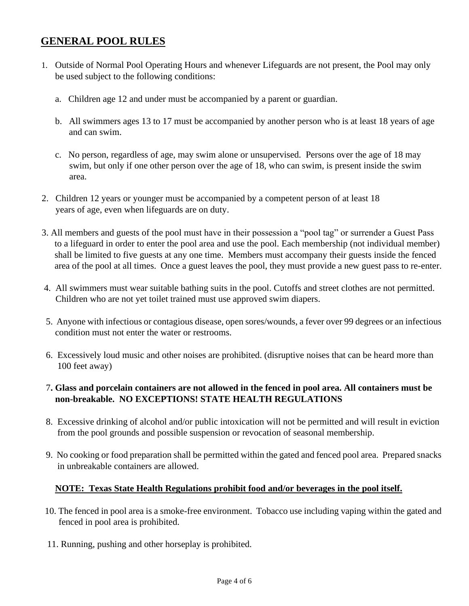## **GENERAL POOL RULES**

- 1. Outside of Normal Pool Operating Hours and whenever Lifeguards are not present, the Pool may only be used subject to the following conditions:
	- a. Children age 12 and under must be accompanied by a parent or guardian.
	- b. All swimmers ages 13 to 17 must be accompanied by another person who is at least 18 years of age and can swim.
	- c. No person, regardless of age, may swim alone or unsupervised. Persons over the age of 18 may swim, but only if one other person over the age of 18, who can swim, is present inside the swim area.
- 2. Children 12 years or younger must be accompanied by a competent person of at least 18 years of age, even when lifeguards are on duty.
- 3. All members and guests of the pool must have in their possession a "pool tag" or surrender a Guest Pass to a lifeguard in order to enter the pool area and use the pool. Each membership (not individual member) shall be limited to five guests at any one time. Members must accompany their guests inside the fenced area of the pool at all times. Once a guest leaves the pool, they must provide a new guest pass to re-enter.
- 4. All swimmers must wear suitable bathing suits in the pool. Cutoffs and street clothes are not permitted. Children who are not yet toilet trained must use approved swim diapers.
- 5. Anyone with infectious or contagious disease, open sores/wounds, a fever over 99 degrees or an infectious condition must not enter the water or restrooms.
- 6. Excessively loud music and other noises are prohibited. (disruptive noises that can be heard more than 100 feet away)

#### 7**. Glass and porcelain containers are not allowed in the fenced in pool area. All containers must be non-breakable. NO EXCEPTIONS! STATE HEALTH REGULATIONS**

- 8. Excessive drinking of alcohol and/or public intoxication will not be permitted and will result in eviction from the pool grounds and possible suspension or revocation of seasonal membership.
- 9. No cooking or food preparation shall be permitted within the gated and fenced pool area. Prepared snacks in unbreakable containers are allowed.

#### **NOTE: Texas State Health Regulations prohibit food and/or beverages in the pool itself.**

- 10. The fenced in pool area is a smoke-free environment. Tobacco use including vaping within the gated and fenced in pool area is prohibited.
- 11. Running, pushing and other horseplay is prohibited.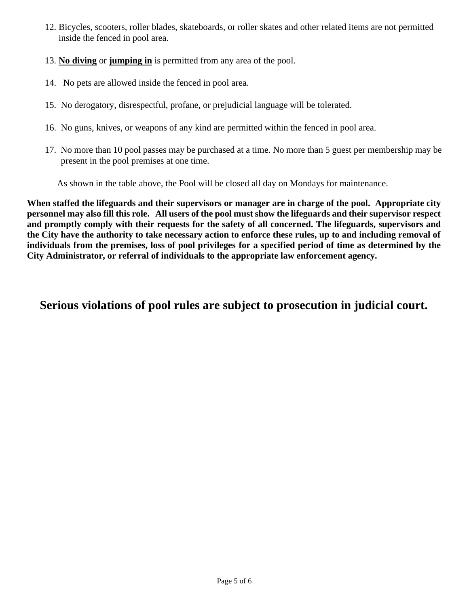- 12. Bicycles, scooters, roller blades, skateboards, or roller skates and other related items are not permitted inside the fenced in pool area.
- 13. **No diving** or **jumping in** is permitted from any area of the pool.
- 14. No pets are allowed inside the fenced in pool area.
- 15. No derogatory, disrespectful, profane, or prejudicial language will be tolerated.
- 16. No guns, knives, or weapons of any kind are permitted within the fenced in pool area.
- 17. No more than 10 pool passes may be purchased at a time. No more than 5 guest per membership may be present in the pool premises at one time.

As shown in the table above, the Pool will be closed all day on Mondays for maintenance.

**When staffed the lifeguards and their supervisors or manager are in charge of the pool. Appropriate city personnel may also fill this role. All users of the pool must show the lifeguards and their supervisor respect and promptly comply with their requests for the safety of all concerned. The lifeguards, supervisors and the City have the authority to take necessary action to enforce these rules, up to and including removal of individuals from the premises, loss of pool privileges for a specified period of time as determined by the City Administrator, or referral of individuals to the appropriate law enforcement agency.** 

## **Serious violations of pool rules are subject to prosecution in judicial court.**